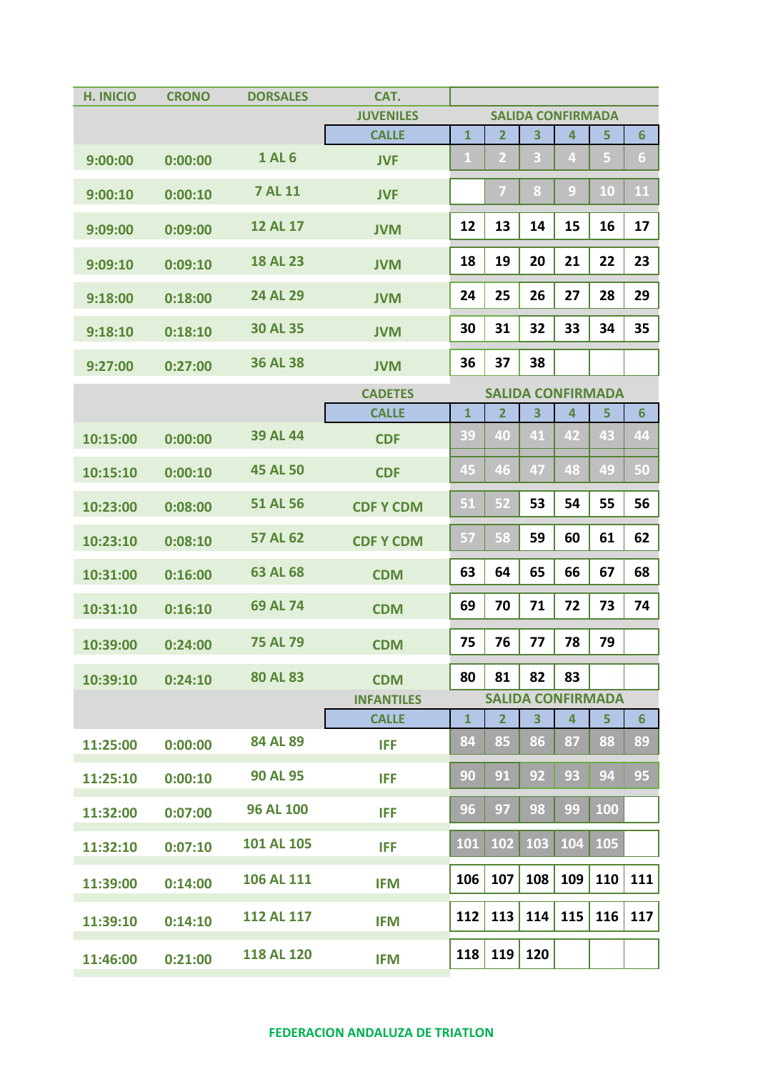| <b>H. INICIO</b> | <b>CRONO</b> | <b>DORSALES</b>   | CAT.              |                          |                |         |                         |                          |                      |
|------------------|--------------|-------------------|-------------------|--------------------------|----------------|---------|-------------------------|--------------------------|----------------------|
|                  |              |                   | <b>JUVENILES</b>  | <b>SALIDA CONFIRMADA</b> |                |         |                         |                          |                      |
|                  |              |                   | <b>CALLE</b>      | $\mathbf{1}$             | $\overline{2}$ | 3       | $\overline{\mathbf{4}}$ | 5                        | $6\phantom{1}$       |
| 9:00:00          | 0:00:00      | <b>1 AL 6</b>     | <b>JVF</b>        | $\mathbf{1}$             | $\overline{2}$ | 3       | 4                       | 5                        | $\boldsymbol{6}$     |
| 9:00:10          | 0:00:10      | <b>7 AL 11</b>    | <b>JVF</b>        |                          | 7              | $\bf 8$ | $\overline{9}$          | 10                       | 11                   |
| 9:09:00          | 0:09:00      | <b>12 AL 17</b>   | <b>JVM</b>        | 12                       | 13             | 14      | 15                      | 16                       | 17                   |
| 9:09:10          | 0:09:10      | <b>18 AL 23</b>   | <b>JVM</b>        | 18                       | 19             | 20      | 21                      | 22                       | 23                   |
| 9:18:00          | 0:18:00      | 24 AL 29          | <b>JVM</b>        | 24                       | 25             | 26      | 27                      | 28                       | 29                   |
| 9:18:10          | 0:18:10      | <b>30 AL 35</b>   | <b>JVM</b>        | 30                       | 31             | 32      | 33                      | 34                       | 35                   |
| 9:27:00          | 0:27:00      | <b>36 AL 38</b>   | <b>JVM</b>        | 36                       | 37             | 38      |                         |                          |                      |
|                  |              |                   | <b>CADETES</b>    | <b>SALIDA CONFIRMADA</b> |                |         |                         |                          |                      |
|                  |              |                   | <b>CALLE</b>      | $\mathbf{1}$             | $\overline{2}$ | 3       | $\overline{4}$          | 5                        | $6\phantom{1}$       |
| 10:15:00         | 0:00:00      | <b>39 AL 44</b>   | <b>CDF</b>        | 39                       | 40             | 41      | 42                      | 43                       | 44                   |
| 10:15:10         | 0:00:10      | <b>45 AL 50</b>   | <b>CDF</b>        | 45                       | 46             | 47      | 48                      | 49                       | 50                   |
| 10:23:00         | 0:08:00      | <b>51 AL 56</b>   | <b>CDF Y CDM</b>  | 51                       | 52             | 53      | 54                      | 55                       | 56                   |
| 10:23:10         | 0:08:10      | 57 AL 62          | <b>CDF Y CDM</b>  | 57                       | 58             | 59      | 60                      | 61                       | 62                   |
| 10:31:00         | 0:16:00      | 63 AL 68          | <b>CDM</b>        | 63                       | 64             | 65      | 66                      | 67                       | 68                   |
| 10:31:10         | 0:16:10      | 69 AL 74          | <b>CDM</b>        | 69                       | 70             | 71      | 72                      | 73                       | 74                   |
| 10:39:00         | 0:24:00      | <b>75 AL 79</b>   | <b>CDM</b>        | 75                       | 76             | 77      | 78                      | 79                       |                      |
| 10:39:10         | 0:24:10      | <b>80 AL 83</b>   | <b>CDM</b>        | 80                       | 81             | 82      | 83                      |                          |                      |
|                  |              |                   | <b>INFANTILES</b> |                          |                |         | 4                       | <b>SALIDA CONFIRMADA</b> |                      |
|                  |              | 84 AL 89          | <b>CALLE</b>      | $\mathbf{1}$<br>84       | 2<br>85        | 3<br>86 | 87                      | 5<br>88                  | $6\phantom{1}$<br>89 |
| 11:25:00         | 0:00:00      |                   | <b>IFF</b>        |                          |                |         |                         |                          |                      |
| 11:25:10         | 0:00:10      | <b>90 AL 95</b>   | <b>IFF</b>        | 90                       | 91             | 92      | 93                      | 94                       | 95                   |
| 11:32:00         | 0:07:00      | <b>96 AL 100</b>  | <b>IFF</b>        | 96                       | 97             | 98      | 99                      | 100                      |                      |
| 11:32:10         | 0:07:10      | 101 AL 105        | <b>IFF</b>        | 101                      | 102            | 103     | 104                     | 105                      |                      |
| 11:39:00         | 0:14:00      | 106 AL 111        | <b>IFM</b>        | 106                      | 107            | 108     | 109                     | 110                      | 111                  |
| 11:39:10         | 0:14:10      | <b>112 AL 117</b> | <b>IFM</b>        | 112                      | 113            | 114     | 115                     | 116                      | 117                  |
| 11:46:00         | 0:21:00      | <b>118 AL 120</b> | <b>IFM</b>        | 118                      | 119            | 120     |                         |                          |                      |

## **FEDERACION ANDALUZA DE TRIATLON**